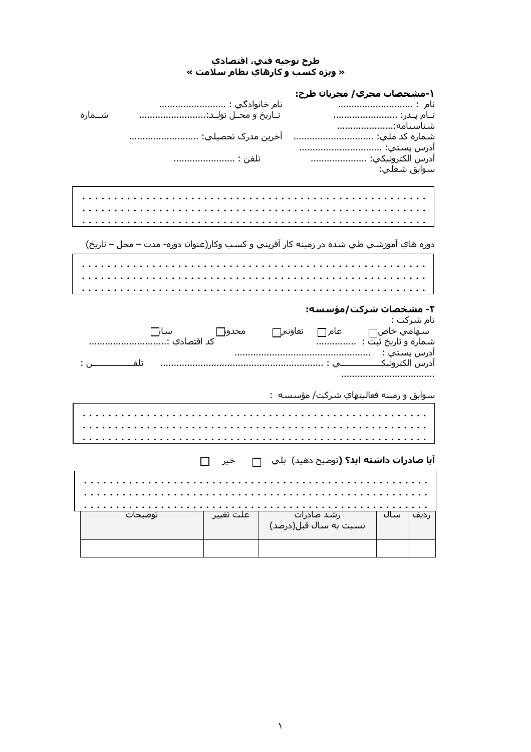# طرح توجيه فني، اقتصادي<br>« ويژه کسب و کارهاي نظام سلامت »

| نام خانوادگي :<br>تـاريخ و محــل تولــد:<br>شــماره                                     | ۱-مشخصات مجري/ مجريان طرح:<br>نام :<br>نـام پـدر:              |
|-----------------------------------------------------------------------------------------|----------------------------------------------------------------|
| آخرين مدرک تحصيلي:<br>تلفن :                                                            | شناسنامه:<br>شـماره کد ملـي:<br>آدرس پستي:<br>آدرس الكترونيكي: |
|                                                                                         | سوابق شغلي:                                                    |
|                                                                                         |                                                                |
| دوره هاي آموزشـي طي شـده در زمينه کار آفريني و کسـب وکار(عنوان دوره- مدت – محل – تاريخ) |                                                                |
|                                                                                         |                                                                |
|                                                                                         | ۲- مشخصات شرکت/مؤسس <mark>ه:</mark>                            |
|                                                                                         | نام شـرکت :                                                    |
|                                                                                         | ادرس پستي :       ………………………………………………                           |
|                                                                                         | سوابق و زمینه فعالیتهای شرکت/ مؤسسه  :<br>.                    |
|                                                                                         |                                                                |
| خير ا                                                                                   | <b>آيا صادرات داشته ايد؟ (</b> توضيح دهيد)  بلي                |

|  |  |  | توضيحات |  |  |  |  |  |  | ّ عَلَتَ تَغْيير |  |  |  |  |  |  | رشد صادرات<br>نسبت به سال قبل(درصد) |  |  |  |  |  | ساك |  |  |  |
|--|--|--|---------|--|--|--|--|--|--|------------------|--|--|--|--|--|--|-------------------------------------|--|--|--|--|--|-----|--|--|--|
|  |  |  |         |  |  |  |  |  |  |                  |  |  |  |  |  |  |                                     |  |  |  |  |  |     |  |  |  |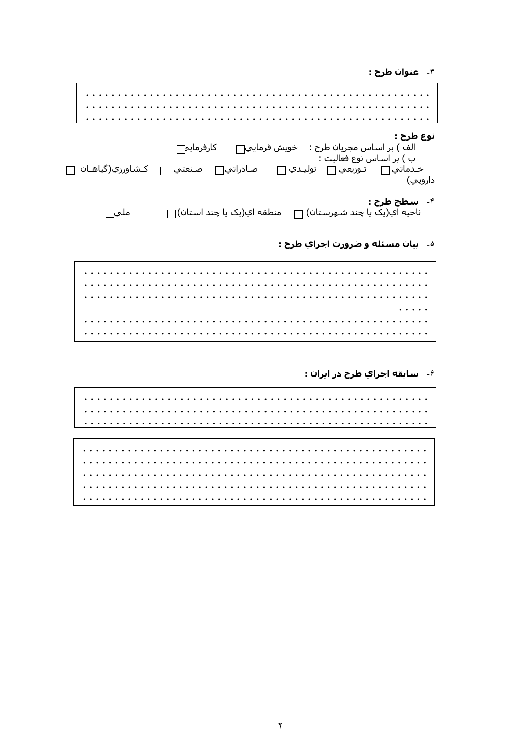۳- عنوان طرح :

| نوع طرح :<br>الف ) بر اسـاس مجريان طرح :    خويش فرمايي <sub>—</sub> كارفرمايم<br>ب ) بر اسـاس نوع فعاليت :<br>صـادراتي∏ صـنعتي ∏<br>دارويي) | کشاورزي(گياهـان ∏ |
|----------------------------------------------------------------------------------------------------------------------------------------------|-------------------|
| ۴- <b>سـطح طرح :</b><br>ناحیه ای(یک یا چند شـهرسـتان) <sub>□</sub> منطقه ای(یک یا چند اسـتان) <sub>□</sub>                                   | ملحيا             |

### <sup>۵</sup>- بيان مسئله و ضرورت احراي طرح :

 $\ldots$  . . .  $\cdot$  . . . . 

<sup>۶</sup>- سابقه احراي طرح در ايران :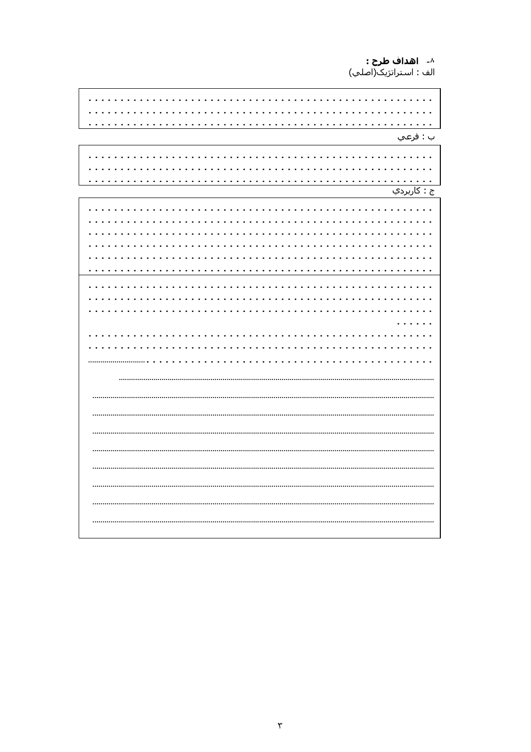۸- **۱هداف طرح :**<br>الف : استراتژیک(اصلي)

and a straight and and a straight and ب : فرعي and a state and and and a con-÷.  $\mathbb{R}^2$ and and  $\mathbb{R}^2$  $\mathbf{r}$  $\cdots$ <u>ج : کاربردي</u> . . . . . . . . . . . . . . .  $\bullet$ . . . .  $\ddot{\phantom{a}}$  $\ddot{\phantom{a}}$ . . . . . . . . . . .  $\overline{\phantom{a}}$  $\overline{a}$  $\overline{a}$ . . . . . . . . . . . . . . . .  $\overline{1}$   $\overline{1}$   $\overline{1}$   $\overline{1}$   $\overline{1}$   $\overline{1}$   $\overline{1}$ . . . . . . . . . . .  $\cdots$  . .  $\ddot{\phantom{a}}$ ....................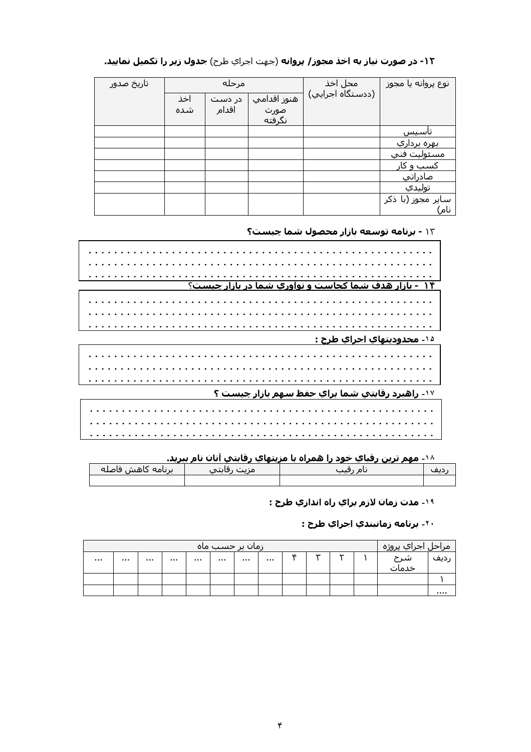#### محل اخذ تاريخ صدور مرحله ً نوع پروانه یا مجوز ً (ددستگاه اجرایي) هنوز اقدامي اخذ در دست شده اقدام صورت <u>نگرفته</u> ۔<br>تأسـیس بهره برداري مسئوليت فني <u>کسب و کار</u> صادراتي توليدي سایر مجوز (با ذکر نام)

### ۱۲**- در صورت نیاز به اخذ مجوز/ پروانه** (جهت اجراي طرح) **جدول زير را تکميل نماييد.**

۱۳ - برنامه توسعه بازار محصول شما چیست؟

| - بازار هدف شما کجاست و نوآوري شما در بازار چيست؟      |
|--------------------------------------------------------|
|                                                        |
|                                                        |
|                                                        |
|                                                        |
|                                                        |
|                                                        |
|                                                        |
|                                                        |
|                                                        |
|                                                        |
| <u>۱۵ محدوديتهاي اجراي طرح :</u>                       |
|                                                        |
|                                                        |
|                                                        |
|                                                        |
|                                                        |
|                                                        |
|                                                        |
|                                                        |
|                                                        |
|                                                        |
|                                                        |
| ۱۷- راهبرد رقابتي شما براي حفظ سهم بازار چيست <u>؟</u> |
|                                                        |
|                                                        |
|                                                        |
|                                                        |
|                                                        |
|                                                        |
|                                                        |
|                                                        |
|                                                        |
|                                                        |

۱۸- مهم ترين رقباي خود را همراه با مزيتهاي رقابتپ آنان نام ببريد.

| ابرنامه كاهش فاصله | --- |  |
|--------------------|-----|--|
|                    |     |  |

۱۹- مدت زمان لازم براي راه اندازي طرح :

۲۰- برنامه زمانبندي احراي طرح **:** 

|          |      |      | <u>زمان بر حسب ماہ</u> |      |    |            |            | مراح <u>ل اجر</u> اي پروژه ا |      |
|----------|------|------|------------------------|------|----|------------|------------|------------------------------|------|
| $\cdots$ | <br> | <br> |                        | <br> | ١c | $\tilde{}$ | $\tilde{}$ | شرح<br>خدمات                 | ردیف |
|          |      |      |                        |      |    |            |            |                              |      |
|          |      |      |                        |      |    |            |            |                              | .    |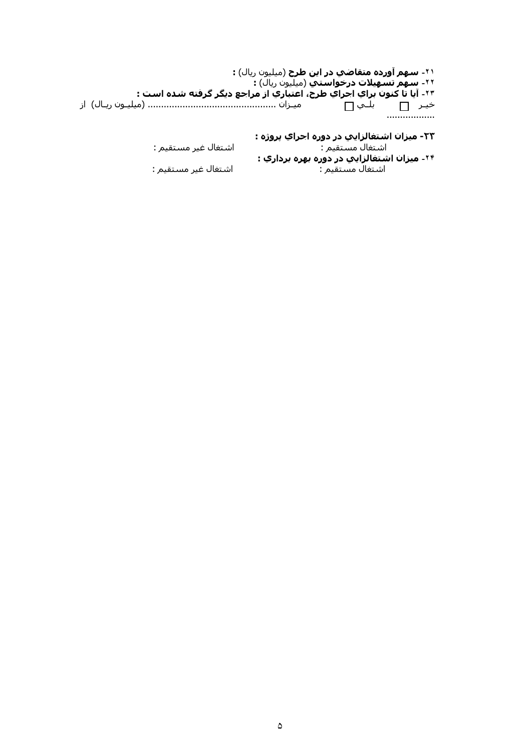۲۱**- سهم آورده متقاضي در اين طرح** (ميليون ريال) **:** ۰۲**۰ سـهُمُ تسَـهِيلات درخواسـتيَ** (ميليون ريال) **:** ٢٣- آيا تَا كَنونَ بَراي اجَرايَ طرحَ، اعْتبَاَرِيّ از ْمراجع ديگر گرفته شده است : خير <del>۾ بل</del>ي∏ .....<del>...</del>..........

> ٢٣- ميزان اشتغالزايي در دوره احراي پروژه : اشتغال غير مستقيم : اشتغال مستقيم : ۲۴- ميزان اشتغالزايي در دوره *به*ره برداري : اشتغال مستقيم :

اشتغال غير مستقيم :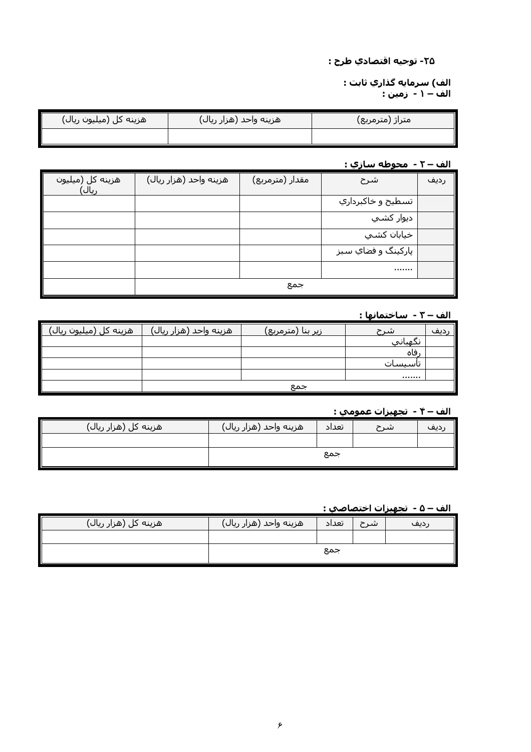### ٢۵- توجيه اقتصادي طرح :

الف) سرمايه گذاري ثابت : الف – ۱ - زمین : َ

| هزینه کل (میلیون ریال) | هزینه واحد (هزار ریال) | متراژ (مترمربع) |
|------------------------|------------------------|-----------------|
|                        |                        |                 |

### <u> الف – ٢ - محوطه سازي :</u>

| هزینه کل (میلیون<br>ريال) | هزينه واحد (هزار ريال) | مقدار (مترمربع) | شرح                | رديف |
|---------------------------|------------------------|-----------------|--------------------|------|
|                           |                        |                 | تسطيح و خاکبرداري  |      |
|                           |                        |                 | ديوار کشـي         |      |
|                           |                        |                 | خيابان كشي         |      |
|                           |                        |                 | پارکینگ و فضاي سبز |      |
|                           |                        |                 |                    |      |
|                           |                        | جمع             |                    |      |

### الف – ٣ - ساختمانها :

| <u>َ هزينه كل (ميليون ريال)</u> | هزينه واحد (هزار ريال) | <u>زیر بنا (مترمربع)</u> | شرح             | دیف |
|---------------------------------|------------------------|--------------------------|-----------------|-----|
|                                 |                        |                          | نكهباني         |     |
|                                 |                        |                          | فاه             |     |
|                                 |                        |                          | ∪ <u>سى</u> سات |     |
|                                 |                        |                          |                 |     |
|                                 |                        | جمع                      |                 |     |

### <u>الف – ۴ - تجهيزات عمومي :</u>

| هزینه کل (هزار ریال) | هزينه واحد (هزار ريال) | تعداد | شرح | ِدیع |
|----------------------|------------------------|-------|-----|------|
|                      |                        |       |     |      |
|                      |                        | جمع   |     |      |

#### الف – ۵ - تجهیزات اختصاصی :

| هزینه کل (هزار ریال) | هزينه واحد (هزار ريال) | تعداد | شرح |      |
|----------------------|------------------------|-------|-----|------|
|                      |                        |       |     | رديف |
|                      |                        |       |     |      |
|                      |                        | جمع   |     |      |
|                      |                        |       |     |      |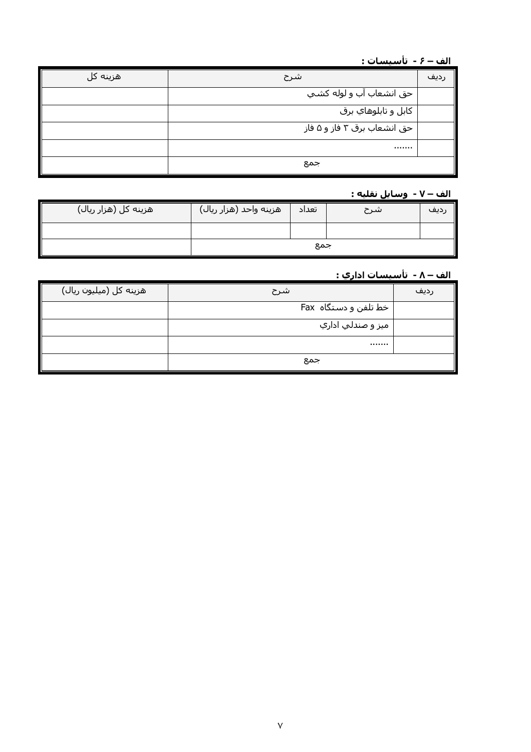### الف – ۶ - تأسيسات :

| /هزینه کل | شرح                         | رديف |
|-----------|-----------------------------|------|
|           | حق انشعاب آب و لوله کشـي    |      |
|           | كابل و تابلوهاي برق         |      |
|           | حق انشعاب برق ۳ فاز و ۵ فاز |      |
|           |                             |      |
|           | جمع                         |      |

### الف – ۷ - وسايل نقليه :

| هزینه کل (هزار ریال) | هزینه واحد (هزار ریال) | تعداد | شرح | رديف |
|----------------------|------------------------|-------|-----|------|
|                      |                        |       |     |      |
|                      | جمع                    |       |     |      |

## <u> الف – ۸ - تأسيسات اداري :</u>

| هزینه کل (میلیون ریال) | شرح                   | رديف |
|------------------------|-----------------------|------|
|                        | خط تلفن و دستگاه  Fax |      |
|                        | ميز و صندلي اداري     |      |
|                        |                       |      |
|                        | جمع                   |      |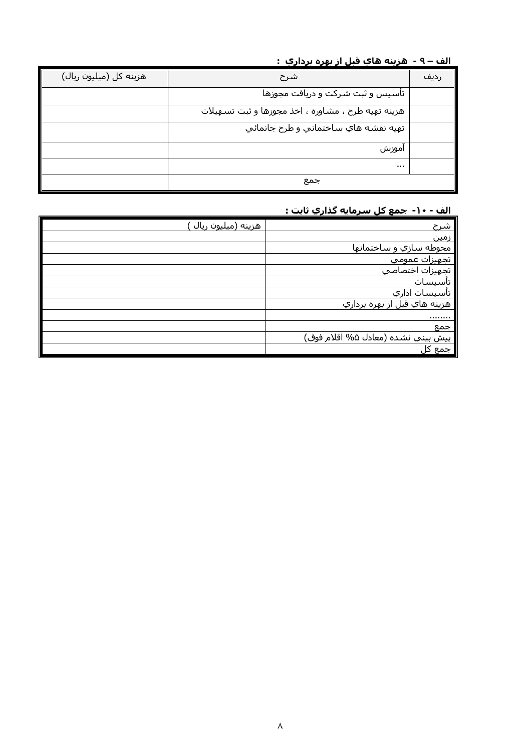### الف – ۹ - هزينه هاي قبل از بهره برداري :

| هزينه كل (ميليون ريال) | شرح                                                | رديف |
|------------------------|----------------------------------------------------|------|
|                        | تأسيس و ثبت شركت و دريافت مجوزها                   |      |
|                        | هزینه تهیه طرح ، مشاوره ، اخذ مجوزها و ثبت تسهیلات |      |
|                        | تهيه نقشه هاي ساختماني و طرح جانمائي               |      |
|                        | اموزش                                              |      |
|                        | $\cdots$                                           |      |
|                        | جمع                                                |      |

### <u>الف - ۱۰- جمع کل سرمایه گذاري ثابت :</u>

| هزينه (ميليون ريال | شرح                                       |
|--------------------|-------------------------------------------|
|                    | <u>زمین</u>                               |
|                    | محوطه سازي و ساختمانها                    |
|                    | <u>تجهيزات عمومي</u>                      |
|                    | تجهيزات اختصاصي                           |
|                    | ِ ت <u>اسـیس</u> ـات                      |
|                    | <u>تأسيسات اداري</u>                      |
|                    |                                           |
|                    |                                           |
|                    | جمع                                       |
|                    | <u>پيش بيني نشده (معادل ۵%</u> اقلام فوق) |
|                    | جمع کا                                    |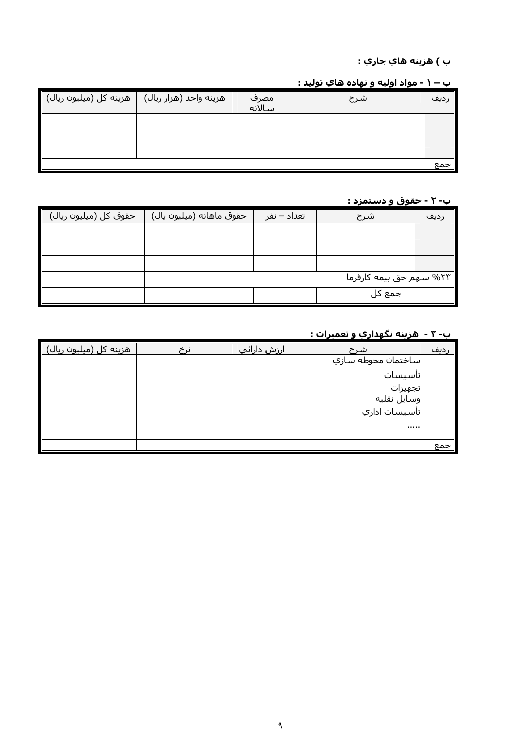### ب ) هزينه هاي جاري :

### <u>ب – ۱ - مواد اوليه و نهاده هاي توليد :</u>

| هزينه كل (ميليون ريال) | ا هزینه واحد (هزار ریال) <sub>ا</sub> | مصرف<br>سالانه | اشرح | ِديف |
|------------------------|---------------------------------------|----------------|------|------|
|                        |                                       |                |      |      |
|                        |                                       |                |      |      |
|                        |                                       |                |      |      |
|                        |                                       |                |      |      |
|                        |                                       |                |      | جمع  |

### <u>ب- ۲ - حقوق و دستمزد :</u>

| حقوق کل (میلیون ریال) | حقوق ماهانه (ميليون يال) | تعداد – نفر | شرح                      | ديف |
|-----------------------|--------------------------|-------------|--------------------------|-----|
|                       |                          |             |                          |     |
|                       |                          |             |                          |     |
|                       |                          |             |                          |     |
|                       |                          |             | ۲۳% سـهم حق بیمه کارفرما |     |
|                       |                          |             | جمع کل                   |     |

### <u>ب- ۳ - هزینه نگهداري و تعمیرات :</u>

| هزینه کل (میلیون ریال) | ارزش دارائپ | شرح                | ردىف <sup>،</sup> |
|------------------------|-------------|--------------------|-------------------|
|                        |             | ساختمان محوطه سازي |                   |
|                        |             | تاسيسات            |                   |
|                        |             | تجهيزات            |                   |
|                        |             | وسايل نقليه        |                   |
|                        |             | تأسيسات اداري      |                   |
|                        |             |                    |                   |
|                        |             |                    | جمع               |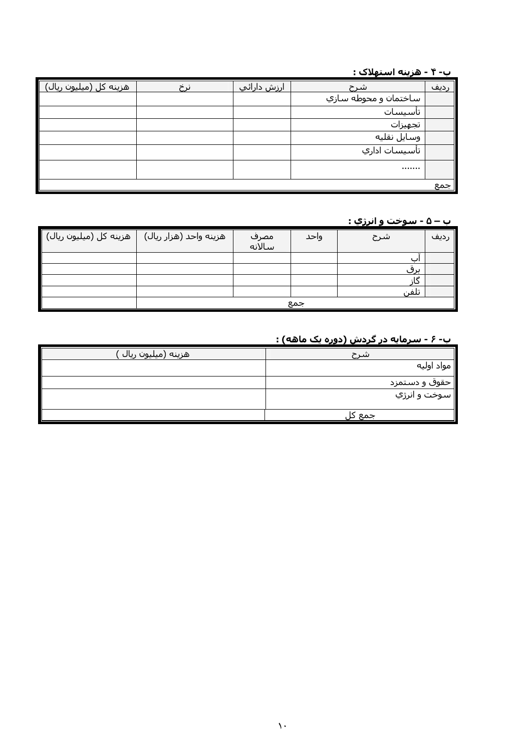### 

| هزینه کل (میلیون ریال) | <u>ارزش دارائپ</u> | اشرح                 | <u>ردىف</u> |
|------------------------|--------------------|----------------------|-------------|
|                        |                    | ساختمان و محوطه سازي |             |
|                        |                    | تاسيسات              |             |
|                        |                    | تجهيزات              |             |
|                        |                    | وسايل نقليه          |             |
|                        |                    | تأسيسات اداري        |             |
|                        |                    |                      |             |
|                        |                    |                      | جمع         |

### ب – ۵ - سوخت و انرژي :

| <sup>ا</sup> هزینه کل (میلیون ریال) <mark>∎</mark> | هزینه واحد (هزار ریال) | مصرف<br>سالانه | واحد | شرح        | رديف |
|----------------------------------------------------|------------------------|----------------|------|------------|------|
|                                                    |                        |                |      |            |      |
|                                                    |                        |                |      | <u>برق</u> |      |
|                                                    |                        |                |      |            |      |
|                                                    |                        |                |      | اتلفن      |      |
|                                                    | جمع                    |                |      |            |      |

### ب- ۶ - سرمایه در گردش (دوره یک ماهه) :

| َ هزينه (ميليون ريال ِ | شرح           |
|------------------------|---------------|
|                        | مواد اوليه    |
|                        | حقوق و دستمزد |
|                        | سوخت و انرژي  |
|                        | جمع د         |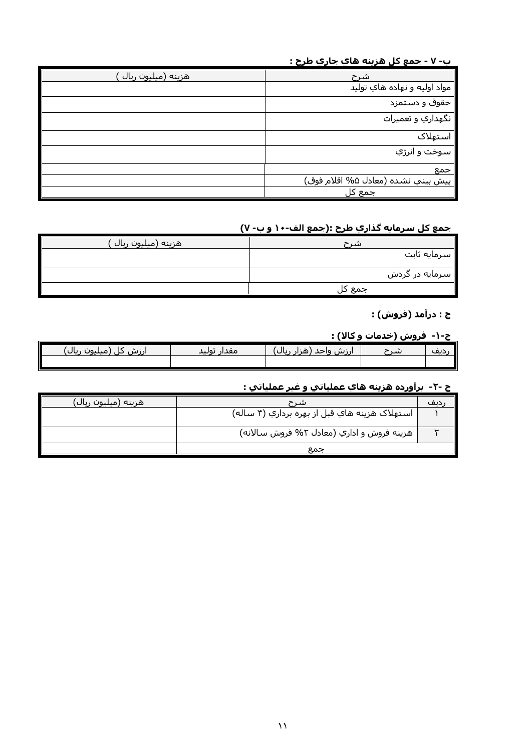### ب- ٧ - جمع کل هزينه هاي جاري طرح :

| هزينه (ميليون ريال | <u>شرح</u>                               |
|--------------------|------------------------------------------|
|                    | مواد اولیه و نهاده هاي تولید             |
|                    | حقوق و دستمزد                            |
|                    | نگهداري و تعميرات                        |
|                    | استهلاک                                  |
|                    | _______________________<br>سوخت و انرژي  |
|                    | جمع                                      |
|                    | <u>پيش بيني نشده (معادل %</u> اقلام فوق) |
|                    | <u>جمع</u> کل                            |

### <u>جمع كل سرمايه گذاري طرح :(جمع الف-۱۰ و ب- ۷)</u>

| هزينه (ميليون ريال | شرح             |
|--------------------|-----------------|
|                    | سرمایه ثابت     |
|                    | ∥سرمایه در گردش |
|                    |                 |
|                    | جمع کل          |

### ج : درآمد (فروش) :

### ج-۱- فروش (خدمات و کالا) :

|                                    |                |                         | - - - |     |
|------------------------------------|----------------|-------------------------|-------|-----|
|                                    | $\cdots$       |                         |       |     |
| ∍بال<br>$\sim$<br>۱n۰.<br>w<br>,,, | مقدار<br>توليد | . .<br>ءاحد<br>از ز لىز | سد    | .پف |
|                                    |                |                         |       |     |
|                                    |                |                         |       |     |

### ج -٢- برآورده هزينه هاي عملياتي و غير عملياتي :

| هزينه (ميليون ريال) | شہ ح                                          | دىف |
|---------------------|-----------------------------------------------|-----|
|                     | استهلاک هزينه هاي قبل از بهره برداري (۴ ساله) |     |
|                     | هزینه فروش و اداري (معادل ۲% فروش سالانه)     |     |
|                     | جمع                                           |     |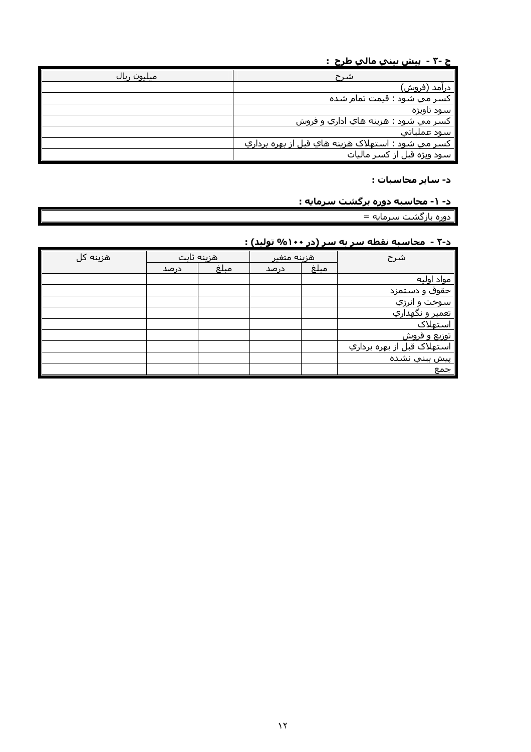### <u>ج -۳ - پيش بينپ مالپ طرح :</u>

| ِ میلیون ریال | شرح                                               |
|---------------|---------------------------------------------------|
|               | ِ درآمد (فروش)                                    |
|               | کسر می شود : قیمت تمام شده                        |
|               | سود ناويژه                                        |
|               | کسـر مي شـود : هزينه هاي اداري و فروش             |
|               | سود عملياتي                                       |
|               | کسر مي شود : استهلاک هزينه هاي قبل از بهره برداري |
|               | سود ویژه قبل از کسر مالیات                        |

### د- سایر محاسبات :

### <u>د- ۱- محاسبه دوره برگشت سرمایه :</u>

| دوره بازگشت سرمایه =

### <mark>د-۲ - محاسبه نقطه سر به سر (در ۱۰۰% تولید) :</mark>

| هزينه كل |      | هزينه ثابت | هزينه متغير |      | شرح                               |
|----------|------|------------|-------------|------|-----------------------------------|
|          | درصد | مبلغ       | درصد        | مبلغ |                                   |
|          |      |            |             |      | مواد اوليه                        |
|          |      |            |             |      | حقوق و دستمزد                     |
|          |      |            |             |      | سوخت و انرژي                      |
|          |      |            |             |      | <u>تعمير و نگهداري</u>            |
|          |      |            |             |      | استهلاک                           |
|          |      |            |             |      | <u>توزیع و فروش</u>               |
|          |      |            |             |      | استهلاک قبل <u>از</u> بهره برداري |
|          |      |            |             |      | <u>پيش بيني نشده</u>              |
|          |      |            |             |      | جمع                               |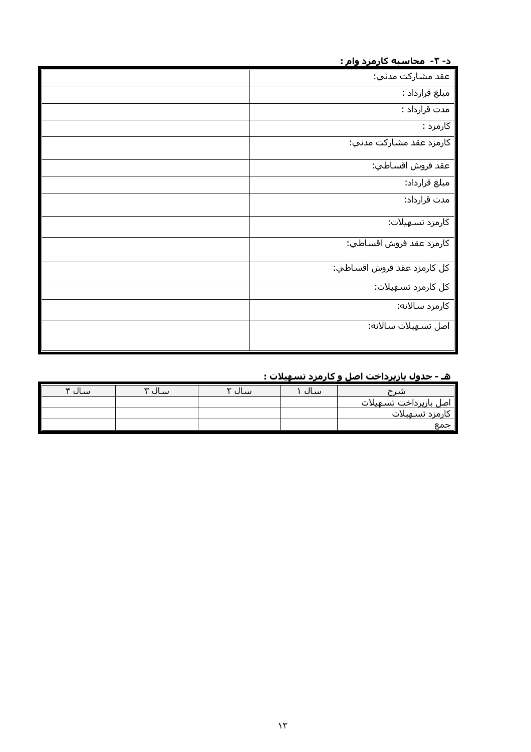د- ۳- محاسبه کارمزد وام :

| عقد مشاركت مدني:                       |
|----------------------------------------|
| مبلغ قرارداد :                         |
| مدت قرارداد :                          |
| کارمزد :                               |
| کارمزد عقد مشارکت مدني:                |
| عقد فروش اقسـاطي <del>:</del>          |
| مبلغ قرارداد:                          |
| مدت قرارداد:                           |
| كارمزد تسـهيلات:                       |
| كارمزد عقد فروش اقساطي:                |
| کل کارمزد عقد فروش اقساطي <del>.</del> |
| كل كارمزد تسـهيلات:                    |
| كارمزد سالانه:                         |
| اصل تسـهيلات سـالانه:                  |

### 

| $\star$ سال $\star$ | سال<br>$\tilde{}$ | سال | ساك | شہ ح                                  |
|---------------------|-------------------|-----|-----|---------------------------------------|
|                     |                   |     |     | <mark>ا اصل بازپرداخت تسـهیلات</mark> |
|                     |                   |     |     | كارمزد تسـهيلات                       |
|                     |                   |     |     | ∥ جمع                                 |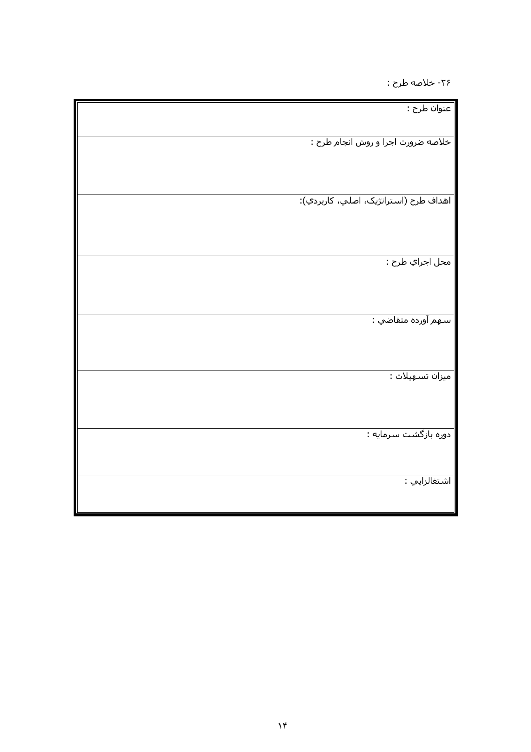۲۶- خلاصه طرح :

| عنوان طرح :                           |
|---------------------------------------|
| خلاصه ضرورت اجرا و روش انجام طرح :    |
|                                       |
| اهداف طرح (استراتژیک، اصلي، کاربردي): |
|                                       |
| محل اجراي طرح :                       |
|                                       |
| سـهم آورده متقاضي :                   |
|                                       |
| میزان تسـهیلات :                      |
| دوره بازگشت سرمایه :                  |
|                                       |
| اشتغالزايي :                          |
|                                       |

Ш